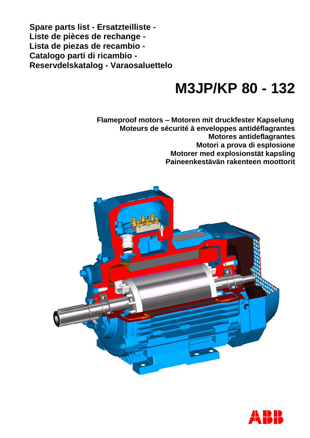**Spare parts list - Ersatzteilliste - Liste de pièces de rechange - Lista de piezas de recambio - Catalogo parti di ricambio - Reservdelskatalog - Varaosaluettelo**

# **M3JP/KP 80 - 132**

**Flameproof motors – Motoren mit druckfester Kapselung Moteurs de sécurité à enveloppes antidéflagrantes Motores antideflagrantes Motori a prova di esplosione Motorer med explosionstät kapsling Paineenkestävän rakenteen moottorit**



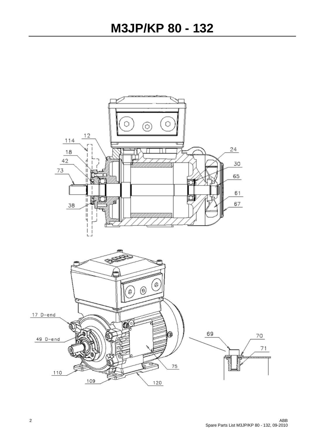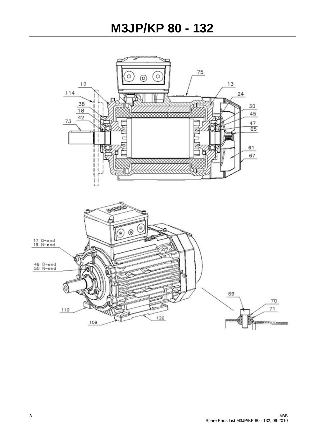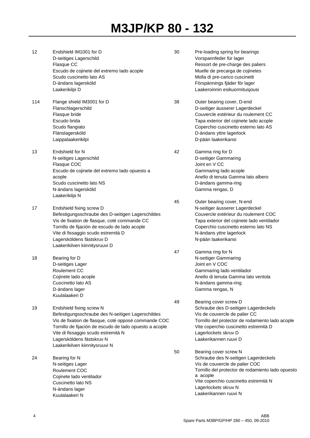- 12 Endshield IM1001 for D D-seitiges Lagerschild Flasque CC Escudo de cojinete del extremo lado acople Scudo cuscinetto lato AS D-ändans lagersköld Laakerikilpi D 114 Flange shield IM3001 for D Flanschlagerschild Flasque bride Escudo brida Scudo flangiato Flänslagersköld Laippalaakerikilpi 13 Endshield for N N-seitiges Lagerschild Flasque COC Escudo de cojinete del extremo lado opuesto a acople Scudo cuscinetto lato NS N-ändans lagersköld Laakerikilpi N 17 Endshield fixing screw D Befestigungsschraube des D-seitigen Lagerschildes Vis de fixation de flasque, coté commande CC Tornillo de fijación de escudo de lado acople Vite di fissaggio scudo estremità D Lagersköldens fästskruv D Laakerikilven kiinnitysruuvi D 18 Bearing for D D-seitiges Lager Roulement CC Cojinete lado acople Cuscinetto lato AS D-ändans lager Kuulalaakeri D 19 Endshield fixing screw N Befestigungsschraube des N-seitigen Lagerschildes Vis de fixation de flasque, coté opposé commande COC Tornillo de fijación de escudo de lado opuesto a acople Vite di fissaggio scudo estremità N Lagersköldens fästskruv N Laakerikilven kiinnitysruuvi N 24 Bearing for N N-seitiges Lager Roulement COC Cojinete lado ventilador Cuscinetto lato NS N-ändans lager
- 30 Pre-loading spring for bearings Vorspannfeder für lager Ressort de pre-charge des paliers Muelle de precarga de cojinetes Molla di pre-carico cuscinetti Förspännings fjäder för lager Laakeroinnin esikuormitusjousi 38 Outer bearing cover, D-end D-seitiger äusserer Lagerdeckel Couvercle extérieur du roulement CC Tapa exterior del cojinete lado acople Coperchio cuscinetto esterno lato AS D-ändans yttre lagerlock D-pään laakerikansi 42 Gamma ring for D D-seitiger Gammaring Joint en V CC Gammaring lado acople Anello di tenuta Gamma lato albero D-ändans gamma-ring Gamma rengas, D 45 Outer bearing cover, N-end N-seitiger äusserer Lagerdeckel Couvercle extérieur du roulement COC Tapa exterior del cojinete lado ventilador Coperchio cuscinetto esterno lato NS N-ändans yttre lagerlock N-pään laakerikansi
- 47 Gamma ring for N N-seitiger Gammaring Joint en V COC Gammaring lado ventilador Anello di tenuta Gamma lato ventola N-ändans gamma-ring Gamma rengas, N
- 49 Bearing cover screw D Schraube des D-seitigen Lagerdeckels Vis de couvercle de palier CC Tornillo del protector de rodamiento lado acople Vite coperchio cuscinetto estremità D Lagerlockets skruv D Laakerikannen ruuvi D
- 50 Bearing cover screw N Schraube des N-seitigen Lagerdeckels Vis de couvercle de palier COC Tornillo del protector de rodamiento lado opuesto a acople Vite coperchio cuscinetto estremità N Lagerlockets skruv N Laakerikannen ruuvi N

Kuulalaakeri N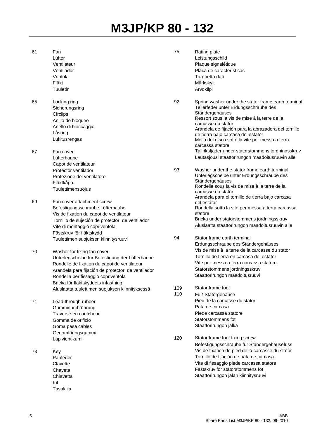| 61 | Fan                                               | 75  | Rating plate                                                        |
|----|---------------------------------------------------|-----|---------------------------------------------------------------------|
|    | Lüfter                                            |     | Leistungsschild                                                     |
|    | Ventilateur                                       |     | Plaque signalétique                                                 |
|    | Ventilador                                        |     | Placa de características                                            |
|    | Ventola                                           |     | Targhetta dati                                                      |
|    | Fläkt                                             |     | Märkskylt                                                           |
|    | Tuuletin                                          |     | Arvokilpi                                                           |
|    |                                                   |     |                                                                     |
| 65 | Locking ring                                      | 92  | Spring washer under the stator frame earth terminal                 |
|    | Sicherungsring                                    |     | Tellerfeder unter Erdungsschraube des                               |
|    | Circlips                                          |     | Ständergehäuses<br>Ressort sous la vis de mise à la terre de la     |
|    | Anillo de bloqueo                                 |     | carcasse du stator                                                  |
|    | Anello di bloccaggio                              |     | Arándela de fijación para la abrazadera del tornillo                |
|    | Låsring                                           |     | de tierra bajo carcasa del estator                                  |
|    | Lukitusrengas                                     |     | Molla del disco sotto la vite per messa a terra<br>carcassa statore |
| 67 | Fan cover                                         |     | Tallriksfjäder under statorstommens jordningsskruv                  |
|    | Lüfterhaube                                       |     | Lautasjousi staattorirungon maadoitusruuvin alle                    |
|    | Capot de ventilateur                              |     |                                                                     |
|    | Protector ventilador                              | 93  | Washer under the stator frame earth terminal                        |
|    | Protezione del ventilatore                        |     | Unterlegscheibe unter Erdungsschraube des                           |
|    | Fläktkåpa                                         |     | Ständergehäuses                                                     |
|    | Tuulettimensuojus                                 |     | Rondelle sous la vis de mise à la terre de la                       |
|    |                                                   |     | carcasse du stator                                                  |
|    |                                                   |     | Arandela para el tornillo de tierra bajo carcasa                    |
| 69 | Fan cover attachment screw                        |     | del estátor                                                         |
|    | Befestigungsschraube Lüfterhaube                  |     | Rondella sotto la vite per messa a terra carcassa                   |
|    | Vis de fixation du capot de ventilateur           |     | statore<br>Bricka under statorstommens jordningsskruv               |
|    | Tornillo de sujeción de protector de ventilador   |     |                                                                     |
|    | Vite di montaggio copriventola                    |     | Aluslaatta staattorirungon maadoitusruuvin alle                     |
|    | Fästskruv för fläktskydd                          |     |                                                                     |
|    | Tuulettimen suojuksen kiinnitysruuvi              | 94  | Stator frame earth terminal                                         |
|    |                                                   |     | Erdungsschraube des Ständergehäuses                                 |
| 70 | Washer for fixing fan cover                       |     | Vis de mise à la terre de la carcasse du stator                     |
|    | Unterlegscheibe für Befestigung der Lüfterhaube   |     | Tornillo de tierra en carcasa del estátor                           |
|    | Rondelle de fixation du capot de ventilateur      |     | Vite per messa a terra carcassa statore                             |
|    | Arandela para fijación de protector de ventilador |     | Statorstommens jordningsskruv                                       |
|    | Rondella per fissaggio copriventola               |     | Staattorirungon maadoitusruuvi                                      |
|    | Bricka för fläktskyddets infästning               |     |                                                                     |
|    | Aluslaatta tuulettimen suojuksen kiinnityksessä   | 109 | Stator frame foot                                                   |
|    |                                                   | 110 | Fuß Statorgehäuse                                                   |
| 71 | Lead-through rubber                               |     | Pied de la carcasse du stator                                       |
|    | Gummidurchführung                                 |     | Pata de carcasa                                                     |
|    | Traversé en coutchouc                             |     | Piede carcassa statore                                              |
|    | Gomma de orificio                                 |     | Statorstommens fot                                                  |
|    | Goma pasa cables                                  |     | Staattorirungon jalka                                               |
|    | Genomföringsgummi                                 |     |                                                                     |
|    | Läpivientikumi                                    | 120 | Stator frame foot fixing screw                                      |
|    |                                                   |     | Befestigungsschraube für Ständergehäusefuss                         |
| 73 | Key                                               |     | Vis de fixation de pied de la carcasse du stator                    |
|    | Pabfeder                                          |     | Tornillo de fijación de pata de carcasa                             |
|    | Clavette                                          |     | Vite di fissaggio piede carcassa statore                            |
|    | Chaveta                                           |     | Fästskruv för statorstommens fot                                    |
|    | Chiavetta                                         |     | Staattorirungon jalan kiinnitysruuvi                                |
|    | Kil                                               |     |                                                                     |
|    |                                                   |     |                                                                     |
|    | Tasakiila                                         |     |                                                                     |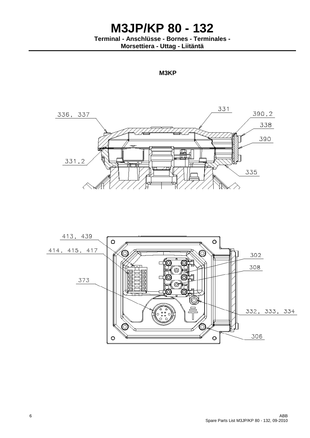**Terminal - Anschlüsse - Bornes - Terminales -**

**Morsettiera - Uttag - Liitäntä**

**M3KP**



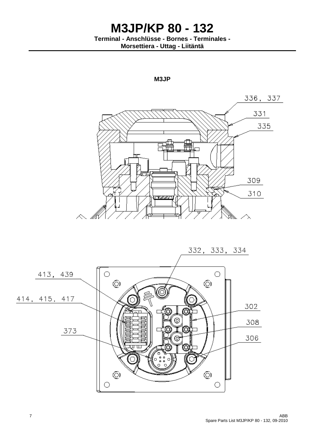**Terminal - Anschlüsse - Bornes - Terminales - Morsettiera - Uttag - Liitäntä**





7 ABB Spare Parts List M3JP/KP 80 - 132, 09-2010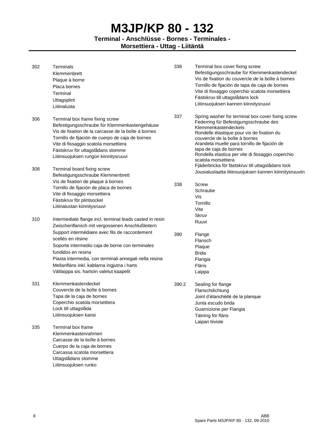**Terminal - Anschlüsse - Bornes - Terminales -**

**Morsettiera - Uttag - Liitäntä**

| 302        | Terminals<br>Klemmenbrett<br>Plaque à borne<br>Placa bornes<br>Terminal<br>Uttagsplint<br>Liitinalusta                                                                                                                                                                                                                                            | 336   | Terminal box cover fixing screw<br>Befestigungsschraube für Klemmenkastendeckel<br>Vis de fixation du couvercle de la boîte à bornes<br>Tornillo de fijación de tapa de caja de bornes<br>Vite di fissaggio coperchio scatola morsettiera<br>Fästskruv till uttagslådans lock<br>Liitinsuojuksen kannen kiinnitysruuvi                                                                                         |
|------------|---------------------------------------------------------------------------------------------------------------------------------------------------------------------------------------------------------------------------------------------------------------------------------------------------------------------------------------------------|-------|----------------------------------------------------------------------------------------------------------------------------------------------------------------------------------------------------------------------------------------------------------------------------------------------------------------------------------------------------------------------------------------------------------------|
| 306<br>308 | Terminal box frame fixing screw<br>Befestigungsschraube für Klemmenkastengehäuse<br>Vis de fixation de la carcasse de la boîte á bornes<br>Tornillo de fijación de cuerpo de caja de bornes<br>Vite di fissaggio scatola morsettiera<br>Fästskruv för uttagslådans stomme<br>Liitinsuojuksen rungon kiinnitysruuvi<br>Terminal board fixing screw | 337   | Spring washer for terminal box cover fixing screw<br>Federring für Befestigungsschraube des<br>Klemmenkastendeckels<br>Rondelle élastique pour vis de fixation du<br>couvercle de la boîte à bornes<br>Arandela muelle para tornillo de fijación de<br>tapa de caja de bornes<br>Rondella elastica per vite di fissaggio coperchio<br>scatola morsettiera<br>Fjäderbricka för fästskruv till uttagslådans lock |
|            | Befestigungsschraube Klemmenbrett<br>Vis de fixation de plaque à bornes<br>Tornillo de fijación de placa de bornes<br>Vite di fissaggio morsettiera<br>Fästskruv för plintsockel<br>Liitinalustan kiinnitysruuvi                                                                                                                                  | 338   | Jousialuslaatta liitinsuojuksen kannen kiinnitysruuviin<br>Screw<br>Schraube<br>Vis<br>Tornillo<br>Vite                                                                                                                                                                                                                                                                                                        |
| 310        | Intermediate flange incl. terminal leads casted in resin<br>Zwischenflansch mit vergossenen Anschlußleitern                                                                                                                                                                                                                                       |       | Skruv<br>Ruuvi                                                                                                                                                                                                                                                                                                                                                                                                 |
|            | Support intermédiaire avec fils de raccordement<br>scellés en résine<br>Soporte intermedio caja de borne con terminales<br>fundidos en resina<br>Piasta intermedia, con terminali annegati nella resina<br>Mellanfläns inkl. kablarna ingjutna i harts<br>Välilaippa sis. hartsiin valetut kaapelit                                               | 390   | Flange<br>Flansch<br>Plaque<br><b>Brida</b><br>Flangia<br>Fläns<br>Laippa                                                                                                                                                                                                                                                                                                                                      |
| 331        | Klemmenkastendeckel<br>Couvercle de la boîte à bornes<br>Tapa de la caja de bornes<br>Coperchio scatola morsettiera<br>Lock till uttagslåda<br>Liitinsuojuksen kansi                                                                                                                                                                              | 390.2 | Sealing for flange<br>Flanschdichtung<br>Joint d'étanchéité de la planque<br>Junta escudo brida<br>Guarnizione per Flangia<br>Tätning för fläns<br>Laipan tiiviste                                                                                                                                                                                                                                             |
| 335        | Terminal box frame<br>Klemmenkastenrahmen<br>Carcasse de la boîte à bornes<br>Cuerpo de la caja de bornes<br>Carcassa scatola morsettiera<br>Uttagslådans stomme<br>Liitinsuojuksen runko                                                                                                                                                         |       |                                                                                                                                                                                                                                                                                                                                                                                                                |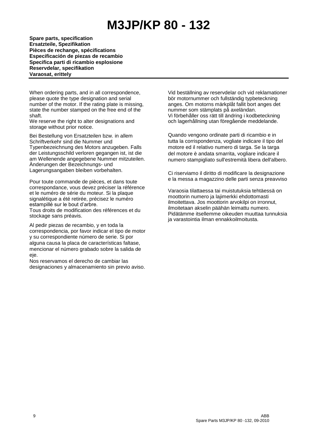**Spare parts, specification Ersatzteile, Spezifikation Pièces de rechange, spécifications Especificación de piezas de recambio Specifica parti di ricambio esplosione Reservdelar, specifikation Varaosat, erittely**

When ordering parts, and in all correspondence, please quote the type designation and serial number of the motor. If the rating plate is missing, state the number stamped on the free end of the shaft.

We reserve the right to alter designations and storage without prior notice.

Bei Bestellung von Ersatzteilen bzw. in allem Schriftverkehr sind die Nummer und Typenbezeichnung des Motors anzugeben. Falls der Leistungsschild verloren gegangen ist, ist die am Wellenende angegebene Nummer mitzuteilen. Änderungen der Bezeichnungs- und Lagerungsangaben bleiben vorbehalten.

Pour toute commande de pièces, et dans toute correspondance, vous devez préciser la référence et le numéro de série du moteur. Si la plaque signalétique a été retirée, précisez le numéro estampillé sur le bout d'arbre. Tous droits de modification des références et du stockage sans préavis.

Al pedir piezas de recambio, y en toda la correspondencia, por favor indicar el tipo de motor y su correspondiente número de serie. Si por alguna causa la placa de características faltase, mencionar el número grabado sobre la salida de eje.

Nos reservamos el derecho de cambiar las designaciones y almacenamiento sin previo aviso.

Vid beställning av reservdelar och vid reklamationer bör motornummer och fullständig typbeteckning anges. Om motorns märkplåt fallit bort anges det nummer som stämplats på axeländan. Vi förbehåller oss rätt till ändring i kodbeteckning och lagerhållning utan föregående meddelande.

Quando vengono ordinate parti di ricambio e in tutta la corrispondenza, vogliate indicare il tipo del motore ed il relativo numero di targa. Se la targa del motore è andata smarrita, vogliare indicare il numero stampigliato sull'estremità libera dell'albero.

Ci riserviamo il diritto di modificare la designazione e la messa a magazzino delle parti senza preavviso

Varaosia tilattaessa tai muistutuksia tehtäessä on moottorin numero ja lajimerkki ehdottomasti ilmoitettava. Jos moottorin arvokilpi on irronnut, ilmoitetaan akselin päähän leimattu numero. Pidätämme itsellemme oikeuden muuttaa tunnuksia ja varastointia ilman ennakkoilmoitusta.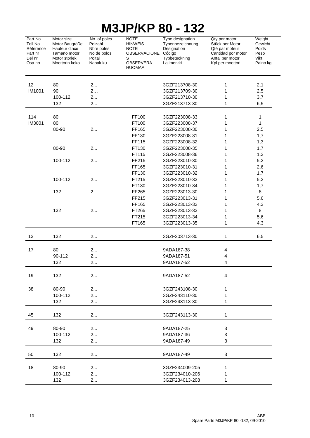| IVIJJF/INF<br>OU<br>I JZ                                         |                                                                                                  |                                                                            |                                                                                                        |                                                                                              |                                                                                                                 |                                                        |  |  |
|------------------------------------------------------------------|--------------------------------------------------------------------------------------------------|----------------------------------------------------------------------------|--------------------------------------------------------------------------------------------------------|----------------------------------------------------------------------------------------------|-----------------------------------------------------------------------------------------------------------------|--------------------------------------------------------|--|--|
| Part No.<br>Teil No.<br>Réference<br>Part nr<br>Del nr<br>Osa no | Motor size<br>Motor Baugröße<br>Hauteur d'axe<br>Tamaño motor<br>Motor storlek<br>Moottorin koko | No. of poles<br>Polzahl<br>Nbre poles<br>No de polos<br>Poltal<br>Napaluku | <b>NOTE</b><br><b>HINWEIS</b><br><b>NOTE</b><br><b>OBSERVACIONE</b><br>S<br>OBSERVERA<br><b>HUOMAA</b> | Type designation<br>Typenbezeichnung<br>Désignation<br>Código<br>Typbeteckning<br>Lajimerkki | Qty per motor<br>Stück per Motor<br>Qté par moteur<br>Cantidad por motor<br>Antal per motor<br>Kpl per moottori | Weight<br>Gewicht<br>Poids<br>Peso<br>Vikt<br>Paino kg |  |  |
|                                                                  |                                                                                                  |                                                                            |                                                                                                        |                                                                                              |                                                                                                                 |                                                        |  |  |
| 12                                                               | 80                                                                                               | 2                                                                          |                                                                                                        | 3GZF213708-30                                                                                | 1                                                                                                               | 2,1                                                    |  |  |
| IM1001                                                           | 90                                                                                               | 2                                                                          |                                                                                                        | 3GZF213709-30                                                                                | 1                                                                                                               | 2,5                                                    |  |  |
|                                                                  | 100-112                                                                                          | 2                                                                          |                                                                                                        | 3GZF213710-30                                                                                | 1                                                                                                               | 3,7                                                    |  |  |
|                                                                  | 132                                                                                              | 2                                                                          |                                                                                                        | 3GZF213713-30                                                                                | 1                                                                                                               | 6,5                                                    |  |  |
| 114                                                              | 80                                                                                               |                                                                            | FF100                                                                                                  | 3GZF223008-33                                                                                | 1                                                                                                               |                                                        |  |  |
| IM3001                                                           | 80                                                                                               |                                                                            |                                                                                                        |                                                                                              | 1                                                                                                               | 1<br>1                                                 |  |  |
|                                                                  |                                                                                                  |                                                                            | FT100                                                                                                  | 3GZF223008-37                                                                                |                                                                                                                 |                                                        |  |  |
|                                                                  | 80-90                                                                                            | 2                                                                          | FF165                                                                                                  | 3GZF223008-30                                                                                | 1                                                                                                               | 2,5                                                    |  |  |
|                                                                  |                                                                                                  |                                                                            | FF130                                                                                                  | 3GZF223008-31                                                                                | 1                                                                                                               | 1,7                                                    |  |  |
|                                                                  |                                                                                                  |                                                                            | FF115                                                                                                  | 3GZF223008-32                                                                                | 1                                                                                                               | 1,3                                                    |  |  |
|                                                                  | 80-90                                                                                            | 2                                                                          | FT130                                                                                                  | 3GZF223008-35                                                                                | 1                                                                                                               | 1,7                                                    |  |  |
|                                                                  |                                                                                                  |                                                                            | FT115                                                                                                  | 3GZF223008-36                                                                                | 1                                                                                                               | 1,3                                                    |  |  |
|                                                                  | 100-112                                                                                          | 2                                                                          | FF215                                                                                                  | 3GZF223010-30                                                                                | 1                                                                                                               | 5,2                                                    |  |  |
|                                                                  |                                                                                                  |                                                                            | FF165                                                                                                  | 3GZF223010-31                                                                                | 1                                                                                                               | 2,6                                                    |  |  |
|                                                                  |                                                                                                  |                                                                            | FF130                                                                                                  | 3GZF223010-32                                                                                | 1                                                                                                               | 1,7                                                    |  |  |
|                                                                  | 100-112                                                                                          | 2                                                                          | FT215                                                                                                  | 3GZF223010-33                                                                                | 1                                                                                                               | 5,2                                                    |  |  |
|                                                                  |                                                                                                  |                                                                            | FT130                                                                                                  | 3GZF223010-34                                                                                | 1                                                                                                               | 1,7                                                    |  |  |
|                                                                  | 132                                                                                              | 2                                                                          | FF265                                                                                                  | 3GZF223013-30                                                                                | 1                                                                                                               | 8                                                      |  |  |
|                                                                  |                                                                                                  |                                                                            | FF215                                                                                                  | 3GZF223013-31                                                                                | 1                                                                                                               | 5,6                                                    |  |  |
|                                                                  |                                                                                                  |                                                                            | FF165                                                                                                  | 3GZF223013-32                                                                                | 1                                                                                                               | 4,3                                                    |  |  |
|                                                                  | 132                                                                                              | 2                                                                          | FT265                                                                                                  | 3GZF223013-33                                                                                | 1                                                                                                               | 8                                                      |  |  |
|                                                                  |                                                                                                  |                                                                            | FT215                                                                                                  | 3GZF223013-34                                                                                | 1                                                                                                               | 5,6                                                    |  |  |
|                                                                  |                                                                                                  |                                                                            | FT165                                                                                                  | 3GZF223013-35                                                                                | $\mathbf{1}$                                                                                                    | 4,3                                                    |  |  |
| 13                                                               | 132                                                                                              | 2                                                                          |                                                                                                        | 3GZF203713-30                                                                                | 1                                                                                                               | 6,5                                                    |  |  |
| 17                                                               | 80                                                                                               | 2                                                                          |                                                                                                        | 9ADA187-38                                                                                   | 4                                                                                                               |                                                        |  |  |
|                                                                  | 90-112                                                                                           | 2                                                                          |                                                                                                        | 9ADA187-51                                                                                   | 4                                                                                                               |                                                        |  |  |
|                                                                  | 132                                                                                              | 2                                                                          |                                                                                                        | 9ADA187-52                                                                                   | 4                                                                                                               |                                                        |  |  |
| 19                                                               | 132                                                                                              | 2                                                                          |                                                                                                        | 9ADA187-52                                                                                   | 4                                                                                                               |                                                        |  |  |
|                                                                  |                                                                                                  |                                                                            |                                                                                                        |                                                                                              |                                                                                                                 |                                                        |  |  |
| 38                                                               | 80-90                                                                                            | 2                                                                          |                                                                                                        | 3GZF243108-30                                                                                | 1                                                                                                               |                                                        |  |  |
|                                                                  | 100-112                                                                                          | 2                                                                          |                                                                                                        | 3GZF243110-30                                                                                | 1                                                                                                               |                                                        |  |  |
|                                                                  | 132                                                                                              | 2                                                                          |                                                                                                        | 3GZF243113-30                                                                                | 1                                                                                                               |                                                        |  |  |
| 45                                                               | 132                                                                                              | 2                                                                          |                                                                                                        | 3GZF243113-30                                                                                | 1                                                                                                               |                                                        |  |  |
| 49                                                               | 80-90                                                                                            | 2                                                                          |                                                                                                        | 9ADA187-25                                                                                   | 3                                                                                                               |                                                        |  |  |
|                                                                  | 100-112                                                                                          | 2                                                                          |                                                                                                        | 9ADA187-36                                                                                   | 3                                                                                                               |                                                        |  |  |
|                                                                  | 132                                                                                              | 2                                                                          |                                                                                                        | 9ADA187-49                                                                                   | 3                                                                                                               |                                                        |  |  |
| 50                                                               | 132                                                                                              | 2                                                                          |                                                                                                        | 9ADA187-49                                                                                   | 3                                                                                                               |                                                        |  |  |
| 18                                                               | 80-90                                                                                            | 2                                                                          |                                                                                                        | 3GZF234009-205                                                                               | 1                                                                                                               |                                                        |  |  |
|                                                                  | 100-112                                                                                          | 2                                                                          |                                                                                                        | 3GZF234010-206                                                                               | 1                                                                                                               |                                                        |  |  |
|                                                                  | 132                                                                                              | 2                                                                          |                                                                                                        | 3GZF234013-208                                                                               | 1                                                                                                               |                                                        |  |  |
|                                                                  |                                                                                                  |                                                                            |                                                                                                        |                                                                                              |                                                                                                                 |                                                        |  |  |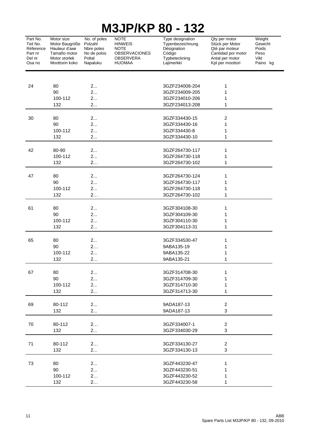| Part No.<br>Teil No.<br>Réference<br>Part nr<br>Del nr<br>Osa no | Motor size<br>Motor Baugröße<br>Hauteur d'axe<br>Tamaño motor<br>Motor storlek<br>Moottorin koko | No. of poles<br>Polzahl<br>Nbre poles<br>No de polos<br>Poltal<br>Napaluku | <b>NOTE</b><br><b>HINWEIS</b><br><b>NOTE</b><br><b>OBSERVACIONES</b><br><b>OBSERVERA</b><br><b>HUOMAA</b> | Type designation<br>Typenbezeichnung<br>Désignation<br>Código<br>Typbeteckning<br>Lajimerkki | Qty per motor<br>Stück per Motor<br>Qté par moteur<br>Cantidad por motor<br>Antal per motor<br>Kpl per moottori | Weight<br>Gewicht<br>Poids<br>Peso<br>Vikt<br>Paino kg |
|------------------------------------------------------------------|--------------------------------------------------------------------------------------------------|----------------------------------------------------------------------------|-----------------------------------------------------------------------------------------------------------|----------------------------------------------------------------------------------------------|-----------------------------------------------------------------------------------------------------------------|--------------------------------------------------------|
|                                                                  |                                                                                                  |                                                                            |                                                                                                           |                                                                                              |                                                                                                                 |                                                        |
| 24                                                               | 80                                                                                               | 2                                                                          |                                                                                                           | 3GZF234008-204                                                                               | 1                                                                                                               |                                                        |
|                                                                  | 90                                                                                               | 2                                                                          |                                                                                                           | 3GZF234009-205                                                                               | 1                                                                                                               |                                                        |
|                                                                  | 100-112                                                                                          | 2<br>2                                                                     |                                                                                                           | 3GZF234010-206                                                                               | 1<br>1                                                                                                          |                                                        |
|                                                                  | 132                                                                                              |                                                                            |                                                                                                           | 3GZF234013-208                                                                               |                                                                                                                 |                                                        |
| 30                                                               | 80                                                                                               | 2                                                                          |                                                                                                           | 3GZF334430-15                                                                                | $\overline{\mathbf{c}}$                                                                                         |                                                        |
|                                                                  | 90                                                                                               | 2                                                                          |                                                                                                           | 3GZF334430-16                                                                                | 1                                                                                                               |                                                        |
|                                                                  | 100-112                                                                                          | 2                                                                          |                                                                                                           | 3GZF334430-8                                                                                 | 1                                                                                                               |                                                        |
|                                                                  | 132                                                                                              | 2                                                                          |                                                                                                           | 3GZF334430-10                                                                                | 1                                                                                                               |                                                        |
|                                                                  |                                                                                                  |                                                                            |                                                                                                           |                                                                                              |                                                                                                                 |                                                        |
| 42                                                               | 80-90                                                                                            | 2                                                                          |                                                                                                           | 3GZF264730-117                                                                               | 1                                                                                                               |                                                        |
|                                                                  | 100-112                                                                                          | 2                                                                          |                                                                                                           | 3GZF264730-118                                                                               | 1                                                                                                               |                                                        |
|                                                                  | 132                                                                                              | 2                                                                          |                                                                                                           | 3GZF264730-102                                                                               | 1                                                                                                               |                                                        |
|                                                                  |                                                                                                  |                                                                            |                                                                                                           |                                                                                              |                                                                                                                 |                                                        |
| 47                                                               | 80<br>90                                                                                         | 2<br>2                                                                     |                                                                                                           | 3GZF264730-124<br>3GZF264730-117                                                             | 1<br>1                                                                                                          |                                                        |
|                                                                  | 100-112                                                                                          | 2                                                                          |                                                                                                           | 3GZF264730-118                                                                               | 1                                                                                                               |                                                        |
|                                                                  | 132                                                                                              | 2                                                                          |                                                                                                           | 3GZF264730-102                                                                               | 1                                                                                                               |                                                        |
|                                                                  |                                                                                                  |                                                                            |                                                                                                           |                                                                                              |                                                                                                                 |                                                        |
| 61                                                               | 80                                                                                               | 2                                                                          |                                                                                                           | 3GZF304108-30                                                                                | 1                                                                                                               |                                                        |
|                                                                  | 90                                                                                               | 2                                                                          |                                                                                                           | 3GZF304109-30                                                                                | 1                                                                                                               |                                                        |
|                                                                  | 100-112                                                                                          | 2                                                                          |                                                                                                           | 3GZF304110-30                                                                                | 1                                                                                                               |                                                        |
|                                                                  | 132                                                                                              | 2                                                                          |                                                                                                           | 3GZF304113-31                                                                                | 1                                                                                                               |                                                        |
|                                                                  |                                                                                                  |                                                                            |                                                                                                           |                                                                                              |                                                                                                                 |                                                        |
| 65                                                               | 80                                                                                               | 2                                                                          |                                                                                                           | 3GZF334530-47                                                                                | 1                                                                                                               |                                                        |
|                                                                  | 90<br>100-112                                                                                    | 2<br>2                                                                     |                                                                                                           | 9ABA135-19<br>9ABA135-22                                                                     | 1<br>1                                                                                                          |                                                        |
|                                                                  | 132                                                                                              | 2                                                                          |                                                                                                           | 9ABA135-21                                                                                   | 1                                                                                                               |                                                        |
|                                                                  |                                                                                                  |                                                                            |                                                                                                           |                                                                                              |                                                                                                                 |                                                        |
| 67                                                               | 80                                                                                               | 2                                                                          |                                                                                                           | 3GZF314708-30                                                                                | 1                                                                                                               |                                                        |
|                                                                  | 90                                                                                               | 2                                                                          |                                                                                                           | 3GZF314709-30                                                                                | 1                                                                                                               |                                                        |
|                                                                  | 100-112                                                                                          | 2                                                                          |                                                                                                           | 3GZF314710-30                                                                                | 1                                                                                                               |                                                        |
|                                                                  | 132                                                                                              | 2                                                                          |                                                                                                           | 3GZF314713-30                                                                                | 1                                                                                                               |                                                        |
|                                                                  |                                                                                                  |                                                                            |                                                                                                           |                                                                                              |                                                                                                                 |                                                        |
| 69                                                               | 80-112                                                                                           | 2                                                                          |                                                                                                           | 9ADA187-13                                                                                   | $\overline{a}$                                                                                                  |                                                        |
|                                                                  | 132                                                                                              | 2                                                                          |                                                                                                           | 9ADA187-13                                                                                   | 3                                                                                                               |                                                        |
| 70                                                               | 80-112                                                                                           | 2                                                                          |                                                                                                           | 3GZF334007-1                                                                                 | 2                                                                                                               |                                                        |
|                                                                  | 132                                                                                              | 2                                                                          |                                                                                                           | 3GZF334030-29                                                                                | 3                                                                                                               |                                                        |
|                                                                  |                                                                                                  |                                                                            |                                                                                                           |                                                                                              |                                                                                                                 |                                                        |
| 71                                                               | 80-112                                                                                           | 2                                                                          |                                                                                                           | 3GZF334130-27                                                                                | $\overline{2}$                                                                                                  |                                                        |
|                                                                  | 132                                                                                              | 2                                                                          |                                                                                                           | 3GZF334130-13                                                                                | 3                                                                                                               |                                                        |
|                                                                  |                                                                                                  |                                                                            |                                                                                                           |                                                                                              |                                                                                                                 |                                                        |
| 73                                                               | 80                                                                                               | 2                                                                          |                                                                                                           | 3GZF443230-47                                                                                | 1                                                                                                               |                                                        |
|                                                                  | 90                                                                                               | 2                                                                          |                                                                                                           | 3GZF443230-51                                                                                | 1                                                                                                               |                                                        |
|                                                                  | 100-112                                                                                          | 2                                                                          |                                                                                                           | 3GZF443230-52                                                                                | 1                                                                                                               |                                                        |
|                                                                  | 132                                                                                              | 2                                                                          |                                                                                                           | 3GZF443230-58                                                                                | 1                                                                                                               |                                                        |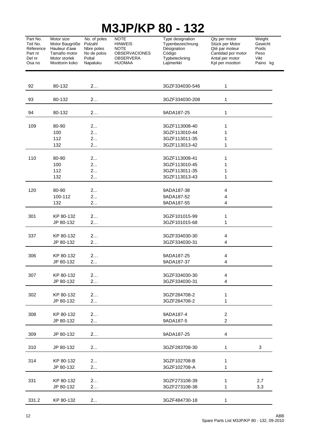| Part No.<br>Teil No.<br>Réference<br>Part nr<br>Del nr<br>Osa no | Motor size<br>Motor Baugröße<br>Hauteur d'axe<br>Tamaño motor<br>Motor storlek<br>Moottorin koko | No. of poles<br>Polzahl<br>Nbre poles<br>No de polos<br>Poltal<br>Napaluku | <b>NOTE</b><br><b>HINWEIS</b><br><b>NOTE</b><br>OBSERVACIONES<br><b>OBSERVERA</b><br><b>HUOMAA</b> | Type designation<br>Typenbezeichnung<br>Désignation<br>Código<br>Typbeteckning<br>Lajimerkki | Qty per motor<br>Stück per Motor<br>Qté par moteur<br>Cantidad por motor<br>Antal per motor<br>Kpl per moottori | Weight<br>Gewicht<br>Poids<br>Peso<br>Vikt<br>Paino kg |
|------------------------------------------------------------------|--------------------------------------------------------------------------------------------------|----------------------------------------------------------------------------|----------------------------------------------------------------------------------------------------|----------------------------------------------------------------------------------------------|-----------------------------------------------------------------------------------------------------------------|--------------------------------------------------------|
| 92                                                               | 80-132                                                                                           | 2                                                                          |                                                                                                    | 3GZF334030-546                                                                               | 1                                                                                                               |                                                        |
| 93                                                               | 80-132                                                                                           | 2                                                                          |                                                                                                    | 3GZF334030-208                                                                               | 1                                                                                                               |                                                        |
| 94                                                               | 80-132                                                                                           | 2                                                                          |                                                                                                    | 9ADA187-25                                                                                   | 1                                                                                                               |                                                        |
| 109                                                              | 80-90                                                                                            | 2                                                                          |                                                                                                    | 3GZF113008-40                                                                                | 1                                                                                                               |                                                        |
|                                                                  | 100                                                                                              | 2                                                                          |                                                                                                    | 3GZF113010-44                                                                                | 1                                                                                                               |                                                        |
|                                                                  | 112<br>132                                                                                       | 2<br>2                                                                     |                                                                                                    | 3GZF113011-35<br>3GZF113013-42                                                               | 1<br>1                                                                                                          |                                                        |
| 110                                                              | 80-90                                                                                            | 2                                                                          |                                                                                                    | 3GZF113008-41                                                                                | 1                                                                                                               |                                                        |
|                                                                  | 100                                                                                              | 2                                                                          |                                                                                                    | 3GZF113010-45                                                                                | 1                                                                                                               |                                                        |
|                                                                  | 112                                                                                              | 2                                                                          |                                                                                                    | 3GZF113011-35                                                                                | 1                                                                                                               |                                                        |
|                                                                  | 132                                                                                              | 2                                                                          |                                                                                                    | 3GZF113013-43                                                                                | 1                                                                                                               |                                                        |
| 120                                                              | 80-90                                                                                            | 2                                                                          |                                                                                                    | 9ADA187-38                                                                                   | 4                                                                                                               |                                                        |
|                                                                  | 100-112                                                                                          | 2                                                                          |                                                                                                    | 9ADA187-52                                                                                   | 4                                                                                                               |                                                        |
|                                                                  | 132                                                                                              | 2                                                                          |                                                                                                    | 9ADA187-55                                                                                   | 4                                                                                                               |                                                        |
| 301                                                              | KP 80-132                                                                                        | 2                                                                          |                                                                                                    | 3GZF101015-99                                                                                | 1                                                                                                               |                                                        |
|                                                                  | JP 80-132                                                                                        | 2                                                                          |                                                                                                    | 3GZF101015-68                                                                                | 1                                                                                                               |                                                        |
| 337                                                              | KP 80-132                                                                                        | 2                                                                          |                                                                                                    | 3GZF334030-30                                                                                | 4                                                                                                               |                                                        |
|                                                                  | JP 80-132                                                                                        | 2                                                                          |                                                                                                    | 3GZF334030-31                                                                                | 4                                                                                                               |                                                        |
| 306                                                              | KP 80-132                                                                                        | 2                                                                          |                                                                                                    | 9ADA187-25                                                                                   | 4                                                                                                               |                                                        |
|                                                                  | JP 80-132                                                                                        | 2                                                                          |                                                                                                    | 9ADA187-37                                                                                   | 4                                                                                                               |                                                        |
| 307                                                              | KP 80-132                                                                                        | 2                                                                          |                                                                                                    | 3GZF334030-30                                                                                | 4                                                                                                               |                                                        |
|                                                                  | JP 80-132                                                                                        | 2                                                                          |                                                                                                    | 3GZF334030-31                                                                                | 4                                                                                                               |                                                        |
| 302                                                              | KP 80-132                                                                                        | 2                                                                          |                                                                                                    | 3GZF284708-2                                                                                 | 1                                                                                                               |                                                        |
|                                                                  | JP 80-132                                                                                        | 2                                                                          |                                                                                                    | 3GZF284708-2                                                                                 | 1                                                                                                               |                                                        |
| 308                                                              | KP 80-132                                                                                        | 2                                                                          |                                                                                                    | 9ADA187-4                                                                                    | $\overline{c}$                                                                                                  |                                                        |
|                                                                  | JP 80-132                                                                                        | 2                                                                          |                                                                                                    | 9ADA187-5                                                                                    | $\overline{2}$                                                                                                  |                                                        |
| 309                                                              | JP 80-132                                                                                        | 2                                                                          |                                                                                                    | 9ADA187-25                                                                                   | 4                                                                                                               |                                                        |
| 310                                                              | JP 80-132                                                                                        | 2                                                                          |                                                                                                    | 3GZF283708-30                                                                                | 1                                                                                                               | 3                                                      |
| 314                                                              | KP 80-132                                                                                        | 2                                                                          |                                                                                                    | 3GZF102708-B                                                                                 | 1                                                                                                               |                                                        |
|                                                                  | JP 80-132                                                                                        | 2                                                                          |                                                                                                    | 3GZF102708-A                                                                                 | 1                                                                                                               |                                                        |
| 331                                                              | KP 80-132                                                                                        | 2                                                                          |                                                                                                    | 3GZF273108-39                                                                                | 1                                                                                                               | 2,7                                                    |
|                                                                  | JP 80-132                                                                                        | 2.                                                                         |                                                                                                    | 3GZF273108-38                                                                                | 1                                                                                                               | 3,3                                                    |
| 331.2                                                            | KP 80-132                                                                                        | 2                                                                          |                                                                                                    | 3GZF484730-18                                                                                | 1                                                                                                               |                                                        |
|                                                                  |                                                                                                  |                                                                            |                                                                                                    |                                                                                              |                                                                                                                 |                                                        |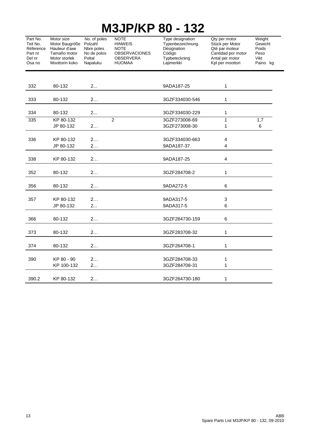| Part No.<br>Teil No.<br>Réference<br>Part nr<br>Del nr<br>Osa no | Motor size<br>Motor Baugröße<br>Hauteur d'axe<br>Tamaño motor<br>Motor storlek<br>Moottorin koko | No. of poles<br>Polzahl<br>Nbre poles<br>No de polos<br>Poltal<br>Napaluku | <b>NOTE</b><br><b>HINWEIS</b><br><b>NOTE</b><br><b>OBSERVACIONES</b><br><b>OBSERVERA</b><br><b>HUOMAA</b> | Type designation<br>Typenbezeichnung<br>Désignation<br>Código<br>Typbeteckning<br>Lajimerkki | Qty per motor<br>Stück per Motor<br>Qté par moteur<br>Cantidad por motor<br>Antal per motor<br>Kpl per moottori | Weight<br>Gewicht<br>Poids<br>Peso<br>Vikt<br>Paino kg |
|------------------------------------------------------------------|--------------------------------------------------------------------------------------------------|----------------------------------------------------------------------------|-----------------------------------------------------------------------------------------------------------|----------------------------------------------------------------------------------------------|-----------------------------------------------------------------------------------------------------------------|--------------------------------------------------------|
| 332                                                              | 80-132                                                                                           | 2                                                                          |                                                                                                           | 9ADA187-25                                                                                   | $\mathbf{1}$                                                                                                    |                                                        |
| 333                                                              | 80-132                                                                                           | 2                                                                          |                                                                                                           | 3GZF334030-546                                                                               | 1                                                                                                               |                                                        |
| 334                                                              | 80-132                                                                                           | 2                                                                          |                                                                                                           | 3GZF334030-229                                                                               | 1                                                                                                               |                                                        |
| 335                                                              | KP 80-132<br>JP 80-132                                                                           | 2                                                                          | $\overline{2}$                                                                                            | 3GZF273008-69<br>3GZF273008-30                                                               | 1<br>$\mathbf{1}$                                                                                               | 1,7<br>6                                               |
| 336                                                              | KP 80-132<br>JP 80-132                                                                           | 2<br>2                                                                     |                                                                                                           | 3GZF334030-663<br>9ADA187-37                                                                 | $\overline{\mathbf{4}}$<br>4                                                                                    |                                                        |
| 338                                                              | KP 80-132                                                                                        | 2                                                                          |                                                                                                           | 9ADA187-25                                                                                   | $\overline{4}$                                                                                                  |                                                        |
| 352                                                              | 80-132                                                                                           | 2                                                                          |                                                                                                           | 3GZF284708-2                                                                                 | 1                                                                                                               |                                                        |
| 356                                                              | 80-132                                                                                           | 2                                                                          |                                                                                                           | 9ADA272-5                                                                                    | 6                                                                                                               |                                                        |
| 357                                                              | KP 80-132<br>JP 80-132                                                                           | 2<br>2                                                                     |                                                                                                           | 9ADA317-5<br>9ADA317-5                                                                       | 3<br>6                                                                                                          |                                                        |
| 366                                                              | 80-132                                                                                           | 2                                                                          |                                                                                                           | 3GZF284730-159                                                                               | 6                                                                                                               |                                                        |
| 373                                                              | 80-132                                                                                           | 2                                                                          |                                                                                                           | 3GZF283708-32                                                                                | 1                                                                                                               |                                                        |
| 374                                                              | 80-132                                                                                           | 2                                                                          |                                                                                                           | 3GZF264708-1                                                                                 | 1                                                                                                               |                                                        |
| 390                                                              | KP 80 - 90<br>KP 100-132                                                                         | 2<br>2                                                                     |                                                                                                           | 3GZF284708-33<br>3GZF284708-31                                                               | 1<br>1                                                                                                          |                                                        |
| 390.2                                                            | KP 80-132                                                                                        | 2                                                                          |                                                                                                           | 3GZF264730-180                                                                               | 1                                                                                                               |                                                        |